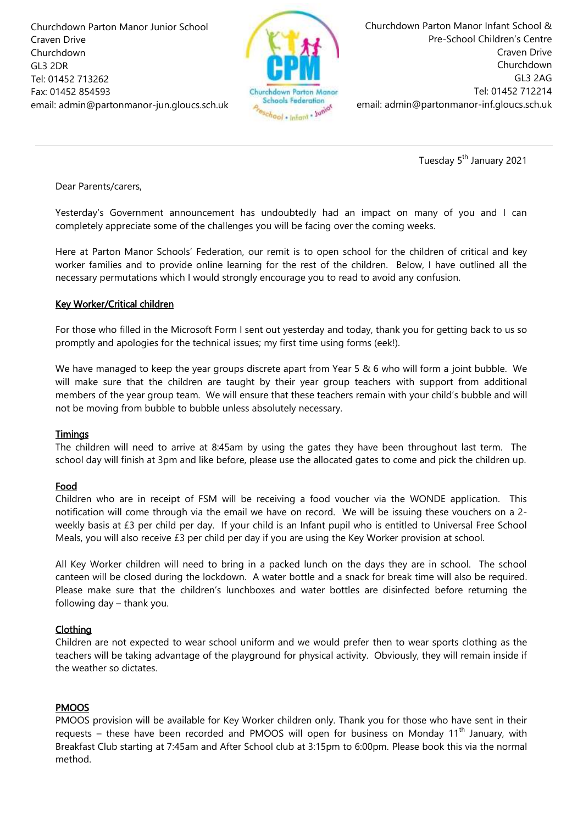Churchdown Parton Manor Junior School Craven Drive Churchdown GL3 2DR Tel: 01452 713262 Fax: 01452 854593 email: admin@partonmanor-jun.gloucs.sch.uk



Churchdown Parton Manor Infant School & Pre-School Children's Centre Craven Drive Churchdown GL3 2AG Tel: 01452 712214 email: admin@partonmanor-inf.gloucs.sch.uk

Tuesday 5<sup>th</sup> January 2021

Dear Parents/carers,

Yesterday's Government announcement has undoubtedly had an impact on many of you and I can completely appreciate some of the challenges you will be facing over the coming weeks.

Here at Parton Manor Schools' Federation, our remit is to open school for the children of critical and key worker families and to provide online learning for the rest of the children. Below, I have outlined all the necessary permutations which I would strongly encourage you to read to avoid any confusion.

# Key Worker/Critical children

For those who filled in the Microsoft Form I sent out yesterday and today, thank you for getting back to us so promptly and apologies for the technical issues; my first time using forms (eek!).

We have managed to keep the year groups discrete apart from Year 5  $\&$  6 who will form a joint bubble. We will make sure that the children are taught by their year group teachers with support from additional members of the year group team. We will ensure that these teachers remain with your child's bubble and will not be moving from bubble to bubble unless absolutely necessary.

### **Timings**

The children will need to arrive at 8:45am by using the gates they have been throughout last term. The school day will finish at 3pm and like before, please use the allocated gates to come and pick the children up.

# Food

Children who are in receipt of FSM will be receiving a food voucher via the WONDE application. This notification will come through via the email we have on record. We will be issuing these vouchers on a 2 weekly basis at £3 per child per day. If your child is an Infant pupil who is entitled to Universal Free School Meals, you will also receive £3 per child per day if you are using the Key Worker provision at school.

All Key Worker children will need to bring in a packed lunch on the days they are in school. The school canteen will be closed during the lockdown. A water bottle and a snack for break time will also be required. Please make sure that the children's lunchboxes and water bottles are disinfected before returning the following day – thank you.

# Clothing

Children are not expected to wear school uniform and we would prefer then to wear sports clothing as the teachers will be taking advantage of the playground for physical activity. Obviously, they will remain inside if the weather so dictates.

# PMOOS

PMOOS provision will be available for Key Worker children only. Thank you for those who have sent in their requests – these have been recorded and PMOOS will open for business on Monday 11<sup>th</sup> January, with Breakfast Club starting at 7:45am and After School club at 3:15pm to 6:00pm. Please book this via the normal method.